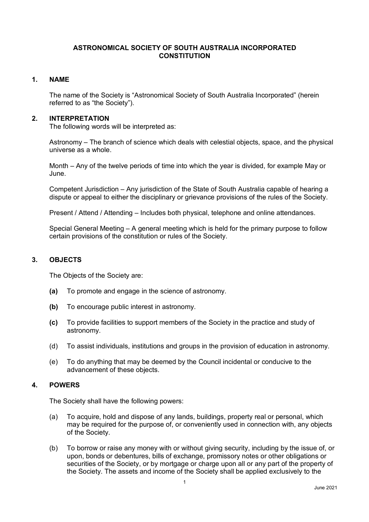### **ASTRONOMICAL SOCIETY OF SOUTH AUSTRALIA INCORPORATED CONSTITUTION**

### **1. NAME**

The name of the Society is "Astronomical Society of South Australia Incorporated" (herein referred to as "the Society").

#### **2. INTERPRETATION**

The following words will be interpreted as:

Astronomy – The branch of science which deals with celestial objects, space, and the physical universe as a whole.

Month – Any of the twelve periods of time into which the year is divided, for example May or June.

Competent Jurisdiction – Any jurisdiction of the State of South Australia capable of hearing a dispute or appeal to either the disciplinary or grievance provisions of the rules of the Society.

Present / Attend / Attending – Includes both physical, telephone and online attendances.

Special General Meeting – A general meeting which is held for the primary purpose to follow certain provisions of the constitution or rules of the Society.

## **3. OBJECTS**

The Objects of the Society are:

- **(a)** To promote and engage in the science of astronomy.
- **(b)** To encourage public interest in astronomy.
- **(c)** To provide facilities to support members of the Society in the practice and study of astronomy.
- (d) To assist individuals, institutions and groups in the provision of education in astronomy.
- (e) To do anything that may be deemed by the Council incidental or conducive to the advancement of these objects.

## **4. POWERS**

The Society shall have the following powers:

- (a) To acquire, hold and dispose of any lands, buildings, property real or personal, which may be required for the purpose of, or conveniently used in connection with, any objects of the Society.
- (b) To borrow or raise any money with or without giving security, including by the issue of, or upon, bonds or debentures, bills of exchange, promissory notes or other obligations or securities of the Society, or by mortgage or charge upon all or any part of the property of the Society. The assets and income of the Society shall be applied exclusively to the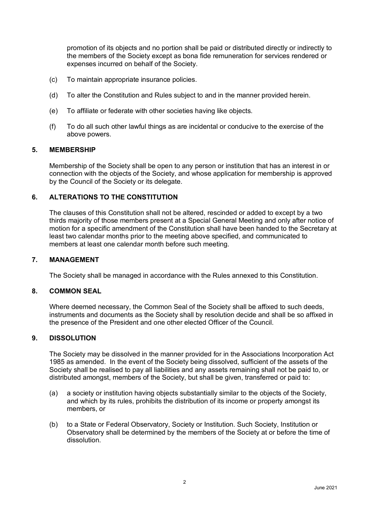promotion of its objects and no portion shall be paid or distributed directly or indirectly to the members of the Society except as bona fide remuneration for services rendered or expenses incurred on behalf of the Society.

- (c) To maintain appropriate insurance policies.
- (d) To alter the Constitution and Rules subject to and in the manner provided herein.
- (e) To affiliate or federate with other societies having like objects.
- (f) To do all such other lawful things as are incidental or conducive to the exercise of the above powers.

#### **5. MEMBERSHIP**

Membership of the Society shall be open to any person or institution that has an interest in or connection with the objects of the Society, and whose application for membership is approved by the Council of the Society or its delegate.

### **6. ALTERATIONS TO THE CONSTITUTION**

The clauses of this Constitution shall not be altered, rescinded or added to except by a two thirds majority of those members present at a Special General Meeting and only after notice of motion for a specific amendment of the Constitution shall have been handed to the Secretary at least two calendar months prior to the meeting above specified, and communicated to members at least one calendar month before such meeting.

#### **7. MANAGEMENT**

The Society shall be managed in accordance with the Rules annexed to this Constitution.

#### **8. COMMON SEAL**

Where deemed necessary, the Common Seal of the Society shall be affixed to such deeds, instruments and documents as the Society shall by resolution decide and shall be so affixed in the presence of the President and one other elected Officer of the Council.

### **9. DISSOLUTION**

The Society may be dissolved in the manner provided for in the Associations Incorporation Act 1985 as amended. In the event of the Society being dissolved, sufficient of the assets of the Society shall be realised to pay all liabilities and any assets remaining shall not be paid to, or distributed amongst, members of the Society, but shall be given, transferred or paid to:

- (a) a society or institution having objects substantially similar to the objects of the Society, and which by its rules, prohibits the distribution of its income or property amongst its members, or
- (b) to a State or Federal Observatory, Society or Institution. Such Society, Institution or Observatory shall be determined by the members of the Society at or before the time of dissolution.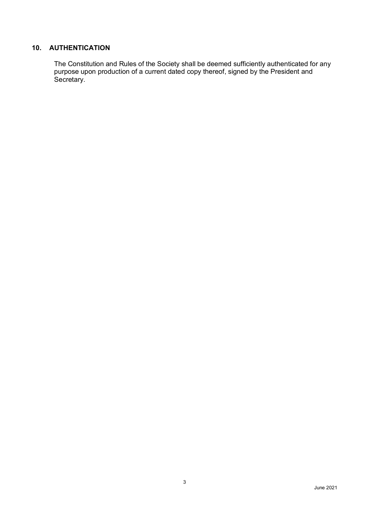## **10. AUTHENTICATION**

The Constitution and Rules of the Society shall be deemed sufficiently authenticated for any purpose upon production of a current dated copy thereof, signed by the President and Secretary.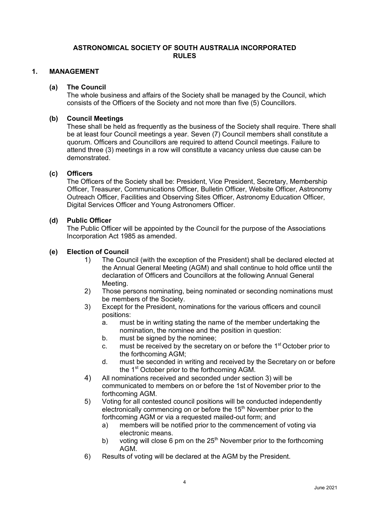### **ASTRONOMICAL SOCIETY OF SOUTH AUSTRALIA INCORPORATED RULES**

## **1. MANAGEMENT**

#### **(a) The Council**

The whole business and affairs of the Society shall be managed by the Council, which consists of the Officers of the Society and not more than five (5) Councillors.

### **(b) Council Meetings**

These shall be held as frequently as the business of the Society shall require. There shall be at least four Council meetings a year. Seven (7) Council members shall constitute a quorum. Officers and Councillors are required to attend Council meetings. Failure to attend three (3) meetings in a row will constitute a vacancy unless due cause can be demonstrated.

## **(c) Officers**

The Officers of the Society shall be: President, Vice President, Secretary, Membership Officer, Treasurer, Communications Officer, Bulletin Officer, Website Officer, Astronomy Outreach Officer, Facilities and Observing Sites Officer, Astronomy Education Officer, Digital Services Officer and Young Astronomers Officer.

### **(d) Public Officer**

The Public Officer will be appointed by the Council for the purpose of the Associations Incorporation Act 1985 as amended.

### **(e) Election of Council**

- 1) The Council (with the exception of the President) shall be declared elected at the Annual General Meeting (AGM) and shall continue to hold office until the declaration of Officers and Councillors at the following Annual General Meeting.
- 2) Those persons nominating, being nominated or seconding nominations must be members of the Society.
- 3) Except for the President, nominations for the various officers and council positions:
	- a. must be in writing stating the name of the member undertaking the nomination, the nominee and the position in question:
	- b. must be signed by the nominee;
	- c. must be received by the secretary on or before the  $1<sup>st</sup>$  October prior to the forthcoming AGM;
	- d. must be seconded in writing and received by the Secretary on or before the 1<sup>st</sup> October prior to the forthcoming AGM.
- 4) All nominations received and seconded under section 3) will be communicated to members on or before the 1st of November prior to the forthcoming AGM.
- 5) Voting for all contested council positions will be conducted independently electronically commencing on or before the 15<sup>th</sup> November prior to the forthcoming AGM or via a requested mailed-out form; and
	- a) members will be notified prior to the commencement of voting via electronic means.
	- b) voting will close 6 pm on the  $25<sup>th</sup>$  November prior to the forthcoming AGM.
- 6) Results of voting will be declared at the AGM by the President.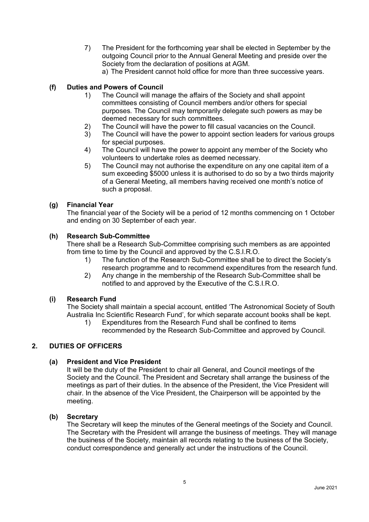- 7) The President for the forthcoming year shall be elected in September by the outgoing Council prior to the Annual General Meeting and preside over the Society from the declaration of positions at AGM.
	- a) The President cannot hold office for more than three successive years.

## **(f) Duties and Powers of Council**

- 1) The Council will manage the affairs of the Society and shall appoint committees consisting of Council members and/or others for special purposes. The Council may temporarily delegate such powers as may be deemed necessary for such committees.
- 2) The Council will have the power to fill casual vacancies on the Council.
- 3) The Council will have the power to appoint section leaders for various groups for special purposes.
- 4) The Council will have the power to appoint any member of the Society who volunteers to undertake roles as deemed necessary.
- 5) The Council may not authorise the expenditure on any one capital item of a sum exceeding \$5000 unless it is authorised to do so by a two thirds majority of a General Meeting, all members having received one month's notice of such a proposal.

### **(g) Financial Year**

The financial year of the Society will be a period of 12 months commencing on 1 October and ending on 30 September of each year.

### **(h) Research Sub-Committee**

There shall be a Research Sub-Committee comprising such members as are appointed from time to time by the Council and approved by the C.S.I.R.O.

- 1) The function of the Research Sub-Committee shall be to direct the Society's research programme and to recommend expenditures from the research fund.
- 2) Any change in the membership of the Research Sub-Committee shall be notified to and approved by the Executive of the C.S.I.R.O.

## **(i) Research Fund**

The Society shall maintain a special account, entitled 'The Astronomical Society of South Australia Inc Scientific Research Fund', for which separate account books shall be kept.

1) Expenditures from the Research Fund shall be confined to items recommended by the Research Sub-Committee and approved by Council.

## **2. DUTIES OF OFFICERS**

## **(a) President and Vice President**

It will be the duty of the President to chair all General, and Council meetings of the Society and the Council. The President and Secretary shall arrange the business of the meetings as part of their duties. In the absence of the President, the Vice President will chair. In the absence of the Vice President, the Chairperson will be appointed by the meeting.

#### **(b) Secretary**

The Secretary will keep the minutes of the General meetings of the Society and Council. The Secretary with the President will arrange the business of meetings. They will manage the business of the Society, maintain all records relating to the business of the Society, conduct correspondence and generally act under the instructions of the Council.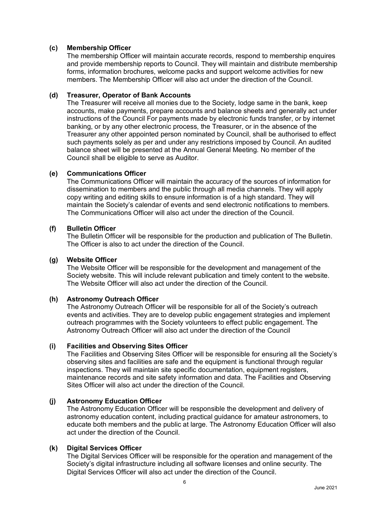### **(c) Membership Officer**

The membership Officer will maintain accurate records, respond to membership enquires and provide membership reports to Council. They will maintain and distribute membership forms, information brochures, welcome packs and support welcome activities for new members. The Membership Officer will also act under the direction of the Council.

### **(d) Treasurer, Operator of Bank Accounts**

The Treasurer will receive all monies due to the Society, lodge same in the bank, keep accounts, make payments, prepare accounts and balance sheets and generally act under instructions of the Council For payments made by electronic funds transfer, or by internet banking, or by any other electronic process, the Treasurer, or in the absence of the Treasurer any other appointed person nominated by Council, shall be authorised to effect such payments solely as per and under any restrictions imposed by Council. An audited balance sheet will be presented at the Annual General Meeting. No member of the Council shall be eligible to serve as Auditor.

## **(e) Communications Officer**

The Communications Officer will maintain the accuracy of the sources of information for dissemination to members and the public through all media channels. They will apply copy writing and editing skills to ensure information is of a high standard. They will maintain the Society's calendar of events and send electronic notifications to members. The Communications Officer will also act under the direction of the Council.

### **(f) Bulletin Officer**

The Bulletin Officer will be responsible for the production and publication of The Bulletin. The Officer is also to act under the direction of the Council.

### **(g) Website Officer**

The Website Officer will be responsible for the development and management of the Society website. This will include relevant publication and timely content to the website. The Website Officer will also act under the direction of the Council.

## **(h) Astronomy Outreach Officer**

The Astronomy Outreach Officer will be responsible for all of the Society's outreach events and activities. They are to develop public engagement strategies and implement outreach programmes with the Society volunteers to effect public engagement. The Astronomy Outreach Officer will also act under the direction of the Council

#### **(i) Facilities and Observing Sites Officer**

The Facilities and Observing Sites Officer will be responsible for ensuring all the Society's observing sites and facilities are safe and the equipment is functional through regular inspections. They will maintain site specific documentation, equipment registers, maintenance records and site safety information and data. The Facilities and Observing Sites Officer will also act under the direction of the Council.

#### **(j) Astronomy Education Officer**

The Astronomy Education Officer will be responsible the development and delivery of astronomy education content, including practical guidance for amateur astronomers, to educate both members and the public at large. The Astronomy Education Officer will also act under the direction of the Council.

#### **(k) Digital Services Officer**

The Digital Services Officer will be responsible for the operation and management of the Society's digital infrastructure including all software licenses and online security. The Digital Services Officer will also act under the direction of the Council.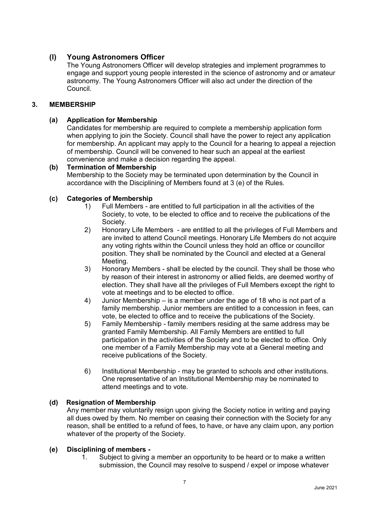# **(l) Young Astronomers Officer**

The Young Astronomers Officer will develop strategies and implement programmes to engage and support young people interested in the science of astronomy and or amateur astronomy. The Young Astronomers Officer will also act under the direction of the Council.

## **3. MEMBERSHIP**

## **(a) Application for Membership**

Candidates for membership are required to complete a membership application form when applying to join the Society. Council shall have the power to reject any application for membership. An applicant may apply to the Council for a hearing to appeal a rejection of membership. Council will be convened to hear such an appeal at the earliest convenience and make a decision regarding the appeal.

## **(b) Termination of Membership**

Membership to the Society may be terminated upon determination by the Council in accordance with the Disciplining of Members found at 3 (e) of the Rules.

## **(c) Categories of Membership**

- 1) Full Members are entitled to full participation in all the activities of the Society, to vote, to be elected to office and to receive the publications of the Society.
- 2) Honorary Life Members are entitled to all the privileges of Full Members and are invited to attend Council meetings. Honorary Life Members do not acquire any voting rights within the Council unless they hold an office or councillor position. They shall be nominated by the Council and elected at a General Meeting.
- 3) Honorary Members shall be elected by the council. They shall be those who by reason of their interest in astronomy or allied fields, are deemed worthy of election. They shall have all the privileges of Full Members except the right to vote at meetings and to be elected to office.
- 4) Junior Membership is a member under the age of 18 who is not part of a family membership. Junior members are entitled to a concession in fees, can vote, be elected to office and to receive the publications of the Society.
- 5) Family Membership family members residing at the same address may be granted Family Membership. All Family Members are entitled to full participation in the activities of the Society and to be elected to office. Only one member of a Family Membership may vote at a General meeting and receive publications of the Society.
- 6) Institutional Membership may be granted to schools and other institutions. One representative of an Institutional Membership may be nominated to attend meetings and to vote.

## **(d) Resignation of Membership**

Any member may voluntarily resign upon giving the Society notice in writing and paying all dues owed by them. No member on ceasing their connection with the Society for any reason, shall be entitled to a refund of fees, to have, or have any claim upon, any portion whatever of the property of the Society.

## **(e) Disciplining of members -**

1. Subject to giving a member an opportunity to be heard or to make a written submission, the Council may resolve to suspend / expel or impose whatever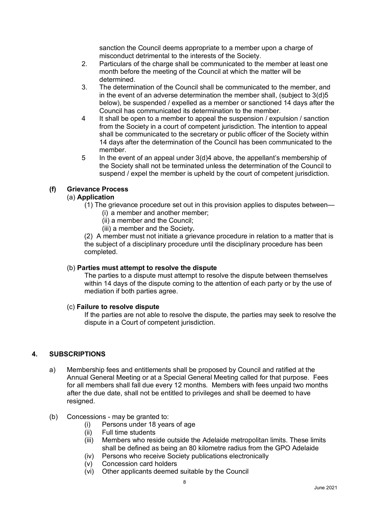sanction the Council deems appropriate to a member upon a charge of misconduct detrimental to the interests of the Society.

- 2. Particulars of the charge shall be communicated to the member at least one month before the meeting of the Council at which the matter will be determined.
- 3. The determination of the Council shall be communicated to the member, and in the event of an adverse determination the member shall, (subject to 3(d)5 below), be suspended / expelled as a member or sanctioned 14 days after the Council has communicated its determination to the member.
- 4 It shall be open to a member to appeal the suspension / expulsion / sanction from the Society in a court of competent jurisdiction. The intention to appeal shall be communicated to the secretary or public officer of the Society within 14 days after the determination of the Council has been communicated to the member.
- 5 In the event of an appeal under 3(d)4 above, the appellant's membership of the Society shall not be terminated unless the determination of the Council to suspend / expel the member is upheld by the court of competent jurisdiction.

## **(f) Grievance Process**

## (a) **Application**

- (1) The grievance procedure set out in this provision applies to disputes between—
	- (i) a member and another member;
		- (ii) a member and the Council;
	- (iii) a member and the Society**.**

(2) A member must not initiate a grievance procedure in relation to a matter that is the subject of a disciplinary procedure until the disciplinary procedure has been completed.

## (b) **Parties must attempt to resolve the dispute**

The parties to a dispute must attempt to resolve the dispute between themselves within 14 days of the dispute coming to the attention of each party or by the use of mediation if both parties agree.

## (c) **Failure to resolve dispute**

If the parties are not able to resolve the dispute, the parties may seek to resolve the dispute in a Court of competent jurisdiction.

## **4. SUBSCRIPTIONS**

- a) Membership fees and entitlements shall be proposed by Council and ratified at the Annual General Meeting or at a Special General Meeting called for that purpose. Fees for all members shall fall due every 12 months. Members with fees unpaid two months after the due date, shall not be entitled to privileges and shall be deemed to have resigned.
- (b) Concessions may be granted to:
	- (i) Persons under 18 years of age
	- (ii) Full time students
	- (iii) Members who reside outside the Adelaide metropolitan limits. These limits shall be defined as being an 80 kilometre radius from the GPO Adelaide
	- (iv) Persons who receive Society publications electronically
	- (v) Concession card holders
	- (vi) Other applicants deemed suitable by the Council